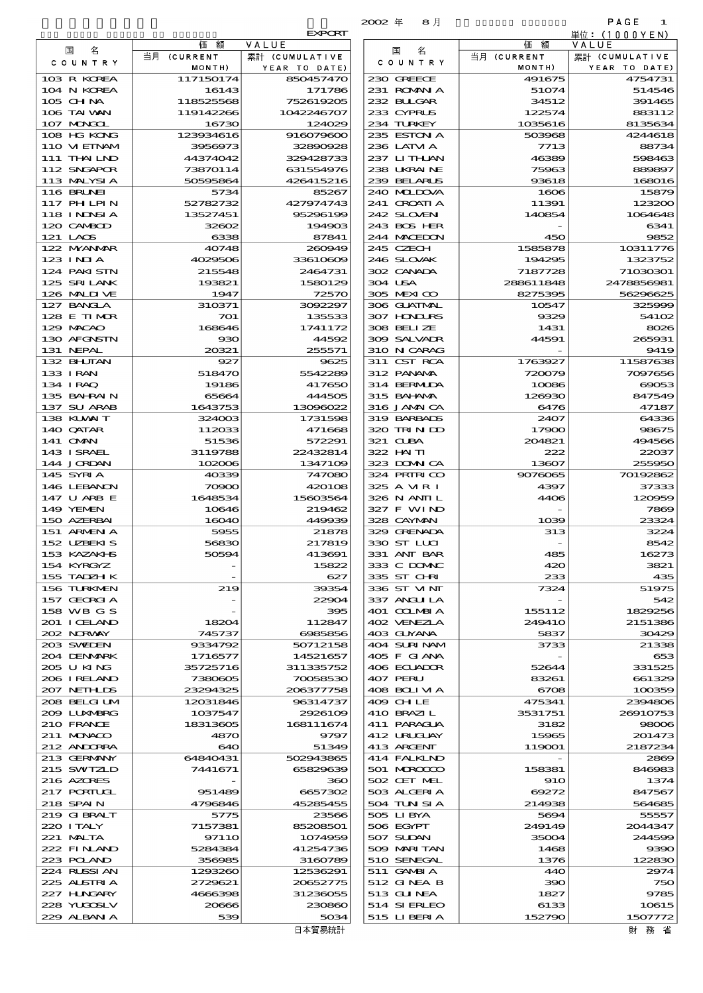|                             |                      |                        | $2002$ $#$<br>8月            |                   | PAGE<br>1             |
|-----------------------------|----------------------|------------------------|-----------------------------|-------------------|-----------------------|
|                             | 価<br>額               | <b>EXPORT</b><br>VALUE |                             | 額<br>価            | 単位:(1000YEN)<br>VALUE |
| 名<br>国                      | 当月 (CURRENT          | 累計 (CUMULATIVE         | 名<br>国                      | 当月 (CURRENT       | 累計 (CUMULATIVE        |
| C O U N T R Y               | MONTH)               | YEAR TO DATE)          | C O U N T R Y               | MONTH)            | YEAR TO DATE)         |
| 103 R KOREA                 | 117150174            | 850457470              | 230 GREECE                  | 491675            | 4754731               |
| 104 N KOREA<br>105 CHNA     | 16143<br>118525568   | 171786<br>752619205    | 231 ROMANIA<br>232 BUGAR    | 51074<br>34512    | 514546<br>391465      |
| 106 TAI WAN                 | 119142266            | 1042246707             | 233 CYPRUS                  | 122574            | 883112                |
| 107 MNGCL                   | 16730                | 124029                 | 234 TURKEY                  | 1035616           | 8135634               |
| 108 HG KONG                 | 123934616            | 916079600              | 235 ESTON A                 | 503968            | 4244618               |
| 110 VIETNAM<br>111 THAILND  | 3956973<br>44374042  | 32890928<br>329428733  | 236 LATM A<br>237 LITHAN    | 7713<br>46389     | 88734<br>598463       |
| 112 SNGAPOR                 | 73870114             | 631554976              | 238 UKRAINE                 | 75963             | 889897                |
| 113 MALYSIA                 | 50595864             | 426415216              | 239 BELARUS                 | 93618             | 168016                |
| <b>116 BRUNEI</b>           | 5734                 | 85267                  | 240 MIDOVA                  | 1606              | 15879                 |
| 117 PHLPIN<br>118 I NDSI A  | 52782732<br>13527451 | 427974743<br>95296199  | 241 CROATIA<br>242 SLOVEN   | 11391<br>140854   | 123200<br>1064648     |
| 120 CAMBOD                  | 32602                | 194903                 | 243 BOS HER                 |                   | 6341                  |
| 121 LAOS                    | 6338                 | 87841                  | 244 MACEDON                 | 450               | 9852                  |
| 122 MYANAR                  | 40748                | 260949<br>33610609     | 245 CZECH                   | 1585878           | 10311776              |
| 123 INJA<br>124 PAKI STN    | 4029506<br>215548    | 2464731                | 246 SLOVAK<br>302 CANADA    | 194295<br>7187728 | 1323752<br>71030301   |
| 125 SRILANK                 | 193821               | 1580129                | 304 USA                     | 288611848         | 2478856981            |
| 126 MALINE                  | 1947                 | 72570                  | 305 MEXICO                  | 8275395           | 56296625              |
| 127 BANCLA                  | 310371               | 3092297                | 306 GUATMAL                 | 10547             | 325999                |
| 128 E TIMOR<br>129 MACAO    | 701<br>168646        | 135533<br>1741172      | 307 HONDURS<br>308 BELLZE   | 9329<br>1431      | 54102<br>8026         |
| 130 AFGNSTN                 | $_{\rm 930}$         | 44592                  | 309 SALVADR                 | 44591             | 265931                |
| 131 NEPAL                   | 20321                | 255571                 | 310 N CARAG                 |                   | 9419                  |
| 132 BHUTAN<br>133 IRAN      | 927<br>518470        | 9625<br>5542289        | 311 CST RCA<br>312 PANAMA   | 1763927<br>720079 | 11587638<br>7097656   |
| 134 IRAQ                    | 19186                | 417650                 | 314 BERMIDA                 | 10086             | 69053                 |
| 135 BAHRAIN                 | 65664                | 444505                 | 315 BAI ANA                 | 126930            | 847549                |
| 137 SU ARAB                 | 1643753              | 13096022               | 316 JAMAICA                 | 6476              | 47187                 |
| 138 KUWAIT<br>140 QATAR     | 324003<br>112033     | 1731598<br>471668      | 319 BARBADS<br>320 TRINDO   | 2407<br>17900     | 64336<br>98675        |
| 141 OMN                     | 51536                | 572291                 | 321 CLBA                    | 204821            | 494566                |
| 143 ISRAEL                  | 3119788              | 22432814               | 322 HAITI                   | 222               | 22037                 |
| 144 JORDAN                  | 102006               | 1347109                | 323 DOMN CA                 | 13607             | 255950                |
| 145 SYRIA<br>146 LEBANON    | 40339<br>70900       | 747080<br>420108       | 324 PRIRICO<br>325 A MR I   | 9076065<br>4397   | 70192862<br>37333     |
| 147 U ARB E                 | 1648534              | 15603564               | 326 N ANII L                | 4406              | 120959                |
| 149 YEMEN                   | 10646                | 219462                 | 327 F WIND                  |                   | 7869                  |
| 150 AZERBAI<br>151 ARMENIA  | 16040<br>5955        | 449939<br>21878        | 328 CAYMAN<br>329 GRENADA   | 1039<br>313       | 23324<br>3224         |
| 152 UZEKIS                  | 56830                | 217819                 | 330 ST LLCI                 |                   | 8542                  |
| 153 KAZAKI-IS               | 50594                | 413691                 | 331 ANT BAR                 | 485               | 16273                 |
| 154 KYRGYZ                  |                      | 15822                  | 333 C DOMAC                 | 420               | 3821                  |
| 155 TADZH K<br>156 TURKMEN  | 219                  | 627<br>39354           | 335 ST CHRI<br>336 ST VINT  | 233<br>7324       | 435<br>51975          |
| 157 GEORGIA                 |                      | 22904                  | 337 ANGLI LA                |                   | 542                   |
| 158 WB G S                  |                      | 395                    | 401 COLMBIA                 | 155112            | 1829256               |
| 201 I CELAND                | 18204                | 112847                 | 402 VENEZIA                 | <b>249410</b>     | 2151386               |
| 202 NORWAY<br>203 SWIDEN    | 745737<br>9334792    | 6985856<br>50712158    | 403 GUYANA<br>404 SURINAM   | 5837<br>3733      | 30429<br>21338        |
| 204 DENMARK                 | 1716577              | 14521657               | 405 F GIANA                 |                   | 653                   |
| 205 U KING                  | 35725716             | 311335752              | 406 ECUADOR                 | 52644             | 331525                |
| 206 I RELAND<br>207 NETHLIS | 7380605<br>23294325  | 70058530<br>206377758  | 407 PERU<br>408 BOLIMA      | 83261<br>6708     | 661329<br>100359      |
| 208 BELGI UM                | 12031846             | 96314737               | 409 CHLE                    | 475341            | 2394806               |
| 2009 LUNABRG                | 1037547              | 2926109                | 410 BRAZI L                 | 3531751           | 26910753              |
| 210 FRANCE                  | 18313605             | 168111674              | 411 PARAGUA                 | 3182              | 98006                 |
| 211 MUNACO<br>212 ANDORRA   | 4870<br>640          | 9797<br>51349          | 412 URUGUAY<br>413 ARGENT   | 15965<br>119001   | 201473<br>2187234     |
| 213 GERMANY                 | 64840431             | 502943865              | 414 FALKLND                 |                   | 2869                  |
| 215 SWIZLD                  | 7441671              | 65829639               | 501 MROCCO                  | 158381            | 846983                |
| 216 AZORES                  |                      | 360                    | 502 CET MEL                 | 910               | 1374                  |
| 217 PORTUGL<br>218 SPAIN    | 951489<br>4796846    | 6657302<br>45285455    | 503 ALGERIA<br>504 TUN SI A | 69272<br>214938   | 847567<br>564685      |
| 219 GIBRALT                 | 5775                 | 23566                  | 505 LIBYA                   | 5694              | 55557                 |
| 220 I TALY                  | 7157381              | 85208501               | 506 EGYPT                   | 249149            | 2044347               |
| 221 MALTA<br>222 FINAND     | 9711O<br>5284384     | 1074959<br>41254736    | 507 SUDAN<br>509 MARI TAN   | 35004<br>1468     | 244599<br>9390        |
| 223 POLAND                  | 356985               | 3160789                | 510 SENEGAL                 | 1376              | 122830                |
| 224 RUSSI AN                | 1293260              | 12536291               | 511 GAMBIA                  | 440               | 2974                  |
| 225 ALSTRIA                 | 2729621              | 20652775               | 512 GINEA B                 | 390               | 750                   |
| 227 HNGARY<br>228 YUQOSLV   | 4666398<br>20666     | 31236055<br>230860     | 513 GUNEA<br>514 SIERLEO    | 1827<br>6133      | 9785<br>10615         |
| 229 ALBAN A                 | 539                  | 5034                   | 515 LIBERIA                 | 152790            | 1507772               |
|                             |                      | 日本貿易統計                 |                             |                   | 財 務 省                 |

|                                        |                        | <b>EXPORI</b>           |
|----------------------------------------|------------------------|-------------------------|
| 国<br>名                                 | 価額<br>当月 (CURRENT      | VALUE<br>累計 (CUMULATIVE |
| C O U N T R Y                          | MONTH)                 | YEAR TO DATE)           |
| 103 R KOREA                            | 117150174              | 850457470               |
| 104 N KOREA                            | 16143                  | 171786                  |
| 105 CHNA<br>106 TAI VAN                | 118525568<br>119142266 | 752619205<br>1042246707 |
| 107 MONGOL                             | 16730                  | 124029                  |
| 108 HG KONG                            | 123934616              | 916079600               |
| 110 VIEINAM                            | 3956973                | 32890928                |
| 111 THAI LND<br>112 SNGAPOR            | 44374042<br>73870114   | 329428733<br>631554976  |
| 113 MALYSIA                            | 50595864               | 426415216               |
| <b>116 BRUNEI</b>                      | 5734                   | 85267                   |
| 117 PHLPIN<br>118 I NDSI A             | 52782732               | 427974743               |
| 120 CAMBOD                             | 13527451<br>32602      | 95296199<br>194903      |
| 121 LAOS                               | 6338                   | 87841                   |
| 122 NYANAR                             | 40748                  | 260949                  |
| $123$ INIA<br>124 PAKI STN             | 4029506<br>215548      | 33610609<br>2464731     |
| 125 SRILANK                            | 193821                 | 1580129                 |
| 126 MALINE                             | 1947                   | 72570                   |
| 127 BANCLA                             | 310371                 | 3092297                 |
| 128 E TIMOR<br>129 MACAO               | 701                    | 135533                  |
| 130 AFGNSTN                            | 168646<br>930          | 1741172<br>44592        |
| 131 NEPAL                              | 20321                  | 255571                  |
| 132 BHUTAN                             | 927                    | 9625                    |
| 133 I RAN                              | 518470                 | 5542289                 |
| 134 IRAQ<br>135 BAHRAIN                | 19186<br>65664         | 417650<br>4445OE        |
| 137 SU ARAB                            | 1643753                | 13096022                |
| 138 KUWAIT                             | 324003                 | 1731596                 |
| 140 QATAR                              | 112033                 | 471668                  |
| 141 OMN<br>143 I SRAEL                 | 51536<br>3119788       | 572291<br>22432814      |
| 144 JORDAN                             | 102006                 | 1347109                 |
| 145 SYRIA                              | 40339                  | 747080                  |
| 146 LEBANON<br>147 U ARB E             | 70900<br>1648534       | 420106<br>15603564      |
| 149 YEMEN                              | 10646                  | 219462                  |
| 150 AZERBAI                            | 16040                  | 449939                  |
| 151 ARMEN A                            | 5955                   | 21878                   |
| 152 UZBEKIS<br>$153 K\Delta Z\Delta K$ | 56830<br>50594         | 217819<br>413691        |
| 154 KYRGYZ                             |                        | 15822                   |
| 155 TADZH K                            |                        | 627                     |
| 156 TURKMEN                            | 219                    | 39354                   |
| 157 GEORGIA<br>158 WB G S              |                        | 22904<br>395            |
| 201 I CELAND                           | 18204                  | 112847                  |
| 202 NORWAY                             | 745737                 | 6985856                 |
| 203 SVEDEN                             | 9334792                | 50712158                |
| 204 DENMARK<br>205 U KING              | 1716577<br>35725716    | 14521657<br>311335752   |
| 206 IRELAND                            | 7380805                | 70058530                |
| 207 NETHLIS                            | 23294325               | 206377758               |
| 208 BELGI UM                           | 12031846               | 96314737                |
| 2009 LUXMBRG<br>210 FRANCE             | 1037547<br>18313605    | 2926109<br>168111674    |
| 211 MUNACO                             | 4870                   | 9797                    |
| 212 ANDORRA                            | 640                    | 51349                   |
| 213 GERMANY                            | 64840431               | 502943865               |
| 215 SWIZLD<br>216 AZORES               | 7441671                | 65829639<br>360         |
| 217 PORTUGL                            | 951489                 | 6657302                 |
| 218 SPAIN                              | 4796846                | 45285455                |
| 219 GIBRALT                            | 5775                   | 23566                   |
| 220 I TALY<br>221 MALTA                | 7157381<br>97110       | 85208501<br>1074959     |
| 222 FINAND                             | 5284384                | 41254736                |
| 223 POLAND                             | 356985                 | 3160789                 |
| 224 RUSSIAN                            | 1293260                | 12536291                |
| 225 ALSTRIA<br>227 H.NGARY             | 2729621<br>4666398     | 20652775                |
| 228 YUGOSLV                            | 20666                  | 31236055<br>230860      |
| 229 ALBAN A                            | 539                    | 5034                    |